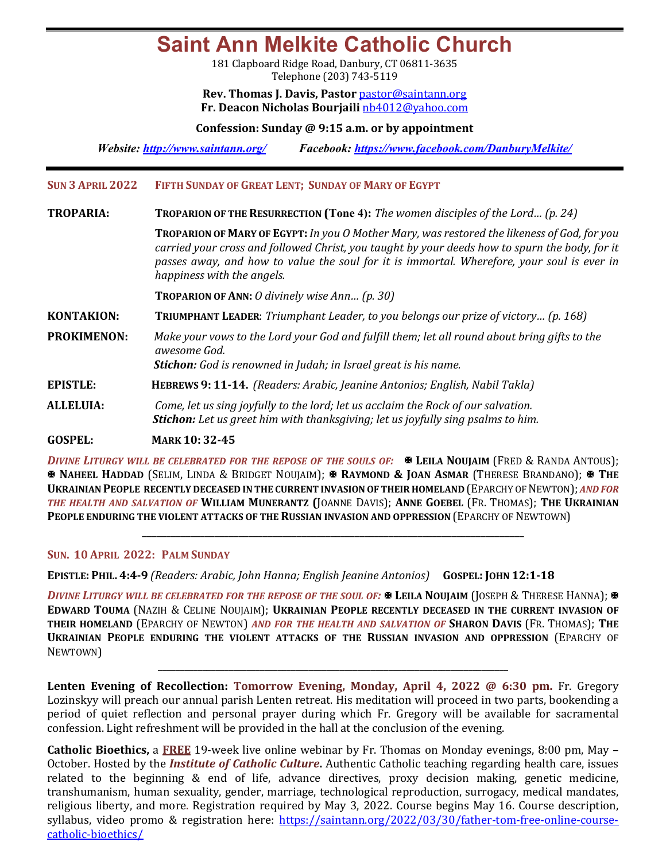**Saint Ann Melkite Catholic Church**

181 Clapboard Ridge Road, Danbury, CT 06811-3635 Telephone (203) 743-5119

**Rev. Thomas J. Davis, Pastor** pastor@saintann.org **Fr. Deacon Nicholas Bourjaili** nb4012@yahoo.com

**Confession: Sunday @ 9:15 a.m. or by appointment**

*Website: http://www.saintann.org/ Facebook: https://www.facebook.com/DanburyMelkite/* 

**SUN 3 APRIL 2022 FIFTH SUNDAY OF GREAT LENT; SUNDAY OF MARY OF EGYPT** 

**TROPARIA: TROPARION OF THE RESURRECTION** (Tone 4): *The women disciples of the Lord...* (p. 24)

TROPARION OF MARY OF EGYPT: *In you O Mother Mary, was restored the likeness of God, for you carried your cross and followed Christ, you taught by your deeds how to spurn the body, for it passes away, and how to value the soul for it is immortal. Wherefore, your soul is ever in happiness with the angels.* 

**TROPARION OF ANN:** *O* divinely wise Ann... (p. 30)

**KONTAKION: TRIUMPHANT LEADER**: *Triumphant Leader, to you belongs our prize of victory... (p. 168)* 

**PROKIMENON:** Make your vows to the Lord your God and fulfill them; let all round about bring gifts to the *awesome God.* 

**Stichon:** God is renowned in Judah; in Israel great is his name.

- **EPISTLE: HEBREWS 9: 11-14.** *(Readers: Arabic, Jeanine Antonios; English, Nabil Takla)*
- **ALLELUIA:** *Come, let us sing joyfully to the lord; let us acclaim the Rock of our salvation. Stichon: Let us greet him with thanksgiving; let us joyfully sing psalms to him.*

**GOSPEL: MARK 10: 32-45**

**DIVINE LITURGY WILL BE CELEBRATED FOR THE REPOSE OF THE SOULS OF:**  $\bullet$  **LEILA NOUJAIM (FRED & RANDA ANTOUS);** X **NAHEEL HADDAD** (SELIM, LINDA & BRIDGET NOUJAIM); X **RAYMOND & JOAN ASMAR** (THERESE BRANDANO); X **THE UKRAINIAN PEOPLE RECENTLY DECEASED IN THE CURRENT INVASION OF THEIR HOMELAND** (EPARCHY OF NEWTON); *AND FOR* THE HEALTH AND SALVATION OF WILLIAM MUNERANTZ (JOANNE DAVIS); ANNE GOEBEL (FR. THOMAS); THE UKRAINIAN **PEOPLE ENDURING THE VIOLENT ATTACKS OF THE RUSSIAN INVASION AND OPPRESSION (EPARCHY OF NEWTOWN)** 

**\_\_\_\_\_\_\_\_\_\_\_\_\_\_\_\_\_\_\_\_\_\_\_\_\_\_\_\_\_\_\_\_\_\_\_\_\_\_\_\_\_\_\_\_\_\_\_\_\_\_\_\_\_\_\_\_\_\_\_\_\_\_\_\_\_\_\_\_\_\_\_\_\_\_\_\_\_\_\_**

## **SUN. 10 APRIL 2022: PALM SUNDAY**

**EPISTLE: PHIL. 4:4-9** *(Readers: Arabic, John Hanna; English Jeanine Antonios)* **GOSPEL: JOHN 12:1-18**

*DIVINE LITURGY WILL BE CELEBRATED FOR THE REPOSE OF THE SOUL OF:*  $\Phi$  LEILA NOUJAIM (JOSEPH & THERESE HANNA);  $\Phi$ **EDWARD TOUMA** (NAZIH & CELINE NOUJAIM); UKRAINIAN PEOPLE RECENTLY DECEASED IN THE CURRENT INVASION OF **THEIR HOMELAND** (EPARCHY OF NEWTON) AND FOR THE HEALTH AND SALVATION OF SHARON DAVIS (FR. THOMAS); THE **UKRAINIAN PEOPLE ENDURING THE VIOLENT ATTACKS OF THE RUSSIAN INVASION AND OPPRESSION (EPARCHY OF** NEWTOWN)

**Lenten Evening of Recollection: Tomorrow Evening, Monday, April 4, 2022 @ 6:30 pm. Fr. Gregory** Lozinskyy will preach our annual parish Lenten retreat. His meditation will proceed in two parts, bookending a period of quiet reflection and personal prayer during which Fr. Gregory will be available for sacramental confession. Light refreshment will be provided in the hall at the conclusion of the evening.

**\_\_\_\_\_\_\_\_\_\_\_\_\_\_\_\_\_\_\_\_\_\_\_\_\_\_\_\_\_\_\_\_\_\_\_\_\_\_\_\_\_\_\_\_\_\_\_\_\_\_\_\_\_\_\_\_\_\_\_\_\_\_\_\_\_\_\_\_\_\_\_\_\_\_\_\_\_\_\_**

**Catholic Bioethics,** a FREE 19-week live online webinar by Fr. Thomas on Monday evenings, 8:00 pm, May – October. Hosted by the *Institute of Catholic Culture*. Authentic Catholic teaching regarding health care, issues related to the beginning  $&$  end of life, advance directives, proxy decision making, genetic medicine, transhumanism, human sexuality, gender, marriage, technological reproduction, surrogacy, medical mandates, religious liberty, and more. Registration required by May 3, 2022. Course begins May 16. Course description, syllabus, video promo & registration here: https://saintann.org/2022/03/30/father-tom-free-online-coursecatholic-bioethics/